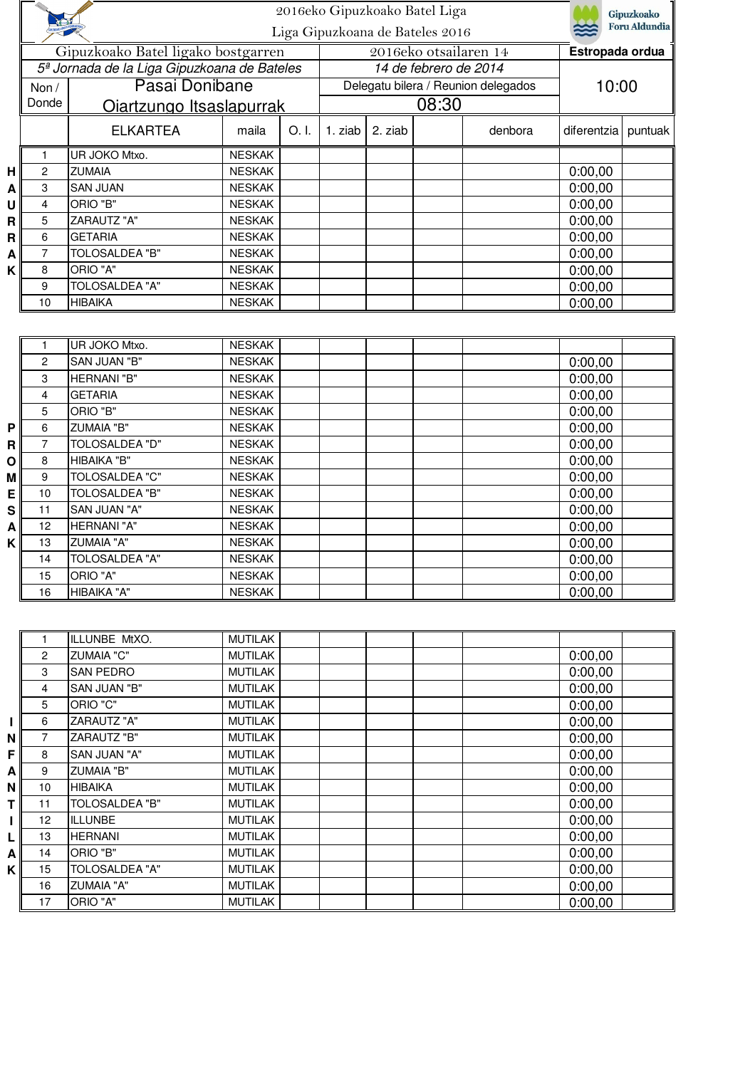|   | <b>NEGLIC</b>  |                                                         | 2016eko Gipuzkoako Batel Liga  |                                 |         |                       |                       |                                     | Gipuzkoako           |         |
|---|----------------|---------------------------------------------------------|--------------------------------|---------------------------------|---------|-----------------------|-----------------------|-------------------------------------|----------------------|---------|
|   |                |                                                         |                                | Liga Gipuzkoana de Bateles 2016 |         |                       |                       |                                     | <b>Foru Aldundia</b> |         |
|   |                | Gipuzkoako Batel ligako bostgarren                      |                                |                                 |         |                       | 2016eko otsailaren 14 |                                     | Estropada ordua      |         |
|   |                | 5 <sup>ª</sup> Jornada de la Liga Gipuzkoana de Bateles |                                |                                 |         | 14 de febrero de 2014 |                       |                                     |                      |         |
|   | Non /          | Pasai Donibane                                          |                                |                                 |         |                       |                       | Delegatu bilera / Reunion delegados | 10:00                |         |
|   | Donde          | <u>Oiartzungo Itsaslapurrak</u>                         |                                |                                 |         | 08:30                 |                       |                                     |                      |         |
|   |                | <b>ELKARTEA</b>                                         | maila                          | O. I.                           | 1. ziab | 2. ziab               |                       | denbora                             | diferentzia          | puntuak |
|   | $\mathbf{1}$   | UR JOKO Mtxo.                                           | <b>NESKAK</b>                  |                                 |         |                       |                       |                                     |                      |         |
| H | $\overline{c}$ | <b>ZUMAIA</b>                                           | <b>NESKAK</b>                  |                                 |         |                       |                       |                                     | 0:00,00              |         |
| Α | 3              | <b>SAN JUAN</b>                                         | <b>NESKAK</b>                  |                                 |         |                       |                       |                                     | 0:00,00              |         |
| U | $\overline{4}$ | ORIO "B"                                                | <b>NESKAK</b>                  |                                 |         |                       |                       |                                     | 0:00,00              |         |
| R | 5              | ZARAUTZ "A"                                             | <b>NESKAK</b>                  |                                 |         |                       |                       |                                     | 0:00,00              |         |
| R | 6              | <b>GETARIA</b>                                          | <b>NESKAK</b>                  |                                 |         |                       |                       |                                     | 0:00,00              |         |
| A | $\overline{7}$ | <b>TOLOSALDEA "B"</b>                                   | <b>NESKAK</b>                  |                                 |         |                       |                       |                                     | 0:00,00              |         |
| K | 8              | ORIO "A"<br><b>TOLOSALDEA "A"</b>                       | <b>NESKAK</b>                  |                                 |         |                       |                       |                                     | 0:00,00              |         |
|   | 9<br>10        | <b>HIBAIKA</b>                                          | <b>NESKAK</b><br><b>NESKAK</b> |                                 |         |                       |                       |                                     | 0:00,00<br>0:00,00   |         |
|   |                |                                                         |                                |                                 |         |                       |                       |                                     |                      |         |
|   |                |                                                         |                                |                                 |         |                       |                       |                                     |                      |         |
|   | 1              | UR JOKO Mtxo.                                           | <b>NESKAK</b>                  |                                 |         |                       |                       |                                     |                      |         |
|   | 2              | SAN JUAN "B"                                            | <b>NESKAK</b>                  |                                 |         |                       |                       |                                     | 0:00,00              |         |
|   | 3              | <b>HERNANI</b> "B"                                      | <b>NESKAK</b>                  |                                 |         |                       |                       |                                     | 0:00,00              |         |
|   | 4              | <b>GETARIA</b>                                          | <b>NESKAK</b>                  |                                 |         |                       |                       |                                     | 0:00,00              |         |
|   | 5              | ORIO "B"                                                | <b>NESKAK</b>                  |                                 |         |                       |                       |                                     | 0:00,00              |         |
| P | 6              | <b>ZUMAIA "B"</b>                                       | <b>NESKAK</b>                  |                                 |         |                       |                       |                                     | 0:00,00              |         |
| R | $\overline{7}$ | <b>TOLOSALDEA "D"</b>                                   | <b>NESKAK</b>                  |                                 |         |                       |                       |                                     | 0:00,00              |         |
| О | 8              | HIBAIKA "B"                                             | <b>NESKAK</b>                  |                                 |         |                       |                       |                                     | 0:00,00              |         |
| М | 9              | <b>TOLOSALDEA "C"</b>                                   | <b>NESKAK</b>                  |                                 |         |                       |                       |                                     | 0:00,00              |         |
| E | 10             | <b>TOLOSALDEA "B"</b>                                   | <b>NESKAK</b>                  |                                 |         |                       |                       |                                     | 0:00,00              |         |
| S | 11             | SAN JUAN "A"                                            | <b>NESKAK</b>                  |                                 |         |                       |                       |                                     | 0:00,00              |         |
| Α | 12             | HERNANI "A"                                             | <b>NESKAK</b>                  |                                 |         |                       |                       |                                     | 0:00,00              |         |
| K | 13             | <b>ZUMAIA "A"</b>                                       | <b>NESKAK</b>                  |                                 |         |                       |                       |                                     | 0:00,00              |         |
|   | 14             | <b>TOLOSALDEA "A"</b>                                   | <b>NESKAK</b>                  |                                 |         |                       |                       |                                     | 0:00,00              |         |
|   | 15             | ORIO "A"<br>HIBAIKA "A"                                 | <b>NESKAK</b><br><b>NESKAK</b> |                                 |         |                       |                       |                                     | 0:00,00              |         |
|   | 16             |                                                         |                                |                                 |         |                       |                       |                                     | 0:00,00              |         |
|   |                |                                                         |                                |                                 |         |                       |                       |                                     |                      |         |
|   | 1              | ILLUNBE MtXO.                                           | <b>MUTILAK</b>                 |                                 |         |                       |                       |                                     |                      |         |
|   | $\mathbf{2}$   | <b>ZUMAIA "C"</b>                                       | <b>MUTILAK</b>                 |                                 |         |                       |                       |                                     | 0:00,00              |         |
|   | 3              | SAN PEDRO                                               | <b>MUTILAK</b>                 |                                 |         |                       |                       |                                     | 0:00,00              |         |
|   | 4              | SAN JUAN "B"                                            | <b>MUTILAK</b>                 |                                 |         |                       |                       |                                     | 0:00,00              |         |
|   | 5              | ORIO "C"                                                | <b>MUTILAK</b>                 |                                 |         |                       |                       |                                     | 0:00,00              |         |
| L | 6              | <b>ZARAUTZ "A"</b>                                      | <b>MUTILAK</b>                 |                                 |         |                       |                       |                                     | 0:00,00              |         |
| N | $\overline{7}$ | ZARAUTZ "B"                                             | <b>MUTILAK</b>                 |                                 |         |                       |                       |                                     | 0:00,00              |         |
| F | $\bf 8$        | SAN JUAN "A"                                            | <b>MUTILAK</b>                 |                                 |         |                       |                       |                                     | 0:00,00              |         |

|     | 5  | ORIO "C"            | <b>MUTILAK</b> | 0:00,00 |
|-----|----|---------------------|----------------|---------|
|     | 6  | ZARAUTZ "A"         | <b>MUTILAK</b> | 0:00,00 |
| ΝI  |    | ZARAUTZ "B"         | <b>MUTILAK</b> | 0:00,00 |
| F.  | 8  | <b>SAN JUAN "A"</b> | MUTILAK        | 0:00,00 |
| A   | 9  | <b>ZUMAIA "B"</b>   | MUTILAK        | 0:00,00 |
| ΝI  | 10 | <b>HIBAIKA</b>      | <b>MUTILAK</b> | 0:00,00 |
|     | 11 | TOLOSALDEA "B"      | <b>MUTILAK</b> | 0:00,00 |
|     | 12 | <b>ILLUNBE</b>      | <b>MUTILAK</b> | 0:00,00 |
|     | 13 | <b>HERNANI</b>      | <b>MUTILAK</b> | 0:00,00 |
| A   | 14 | ORIO "B"            | <b>MUTILAK</b> | 0:00,00 |
| K l | 15 | TOLOSALDEA "A"      | <b>MUTILAK</b> | 0:00,00 |
|     | 16 | <b>ZUMAIA "A"</b>   | <b>MUTILAK</b> | 0:00,00 |
|     | 17 | ORIO "A"            | <b>MUTILAK</b> | 0:00,00 |